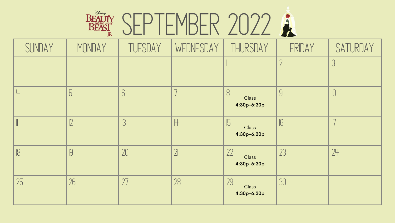### BEAUTY SEPTEMBER 2022

| SUNDAY | MONDAY | TUESDAY | WEDNESDAY      | THURSDAY                             | FRIDAY     | SATURDAY |
|--------|--------|---------|----------------|--------------------------------------|------------|----------|
|        |        |         |                |                                      | $\bigcap$  |          |
|        | 5      | 6       |                | 8<br>Class<br>4:30p-6:30p            | 9          |          |
|        | ℾ      | 13      |                | $\mathbb{P}$<br>Class<br>4:30p-6:30p | $\sqrt{6}$ |          |
| 18     | 9      | 20      | 2 <sup>1</sup> | 22<br>Class<br>4:30p-6:30p           | 23         | 24       |
| 25     | 26     | 27      | 28             | 29<br>Class<br>4:30p-6:30p           | 30         |          |



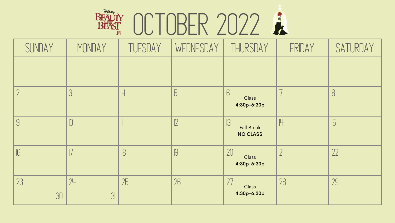## OCTOBER 2022

| $\bigoplus_{i=1}^n E$<br><b>BEAUTY</b><br>AND <sup>-</sup><br>BEAS<br>IR |  |
|--------------------------------------------------------------------------|--|
|                                                                          |  |

| SUNDAY       | MONDAY               | TUESDAY | WEDNESDAY      | THURSDAY                             | FRIDAY      | SATURDAY       |
|--------------|----------------------|---------|----------------|--------------------------------------|-------------|----------------|
|              |                      |         |                |                                      |             |                |
|              |                      |         | $\overline{C}$ | 6<br>Class<br>4:30p-6:30p            |             | 8              |
| 9            |                      |         |                | <b>Fall Break</b><br><b>NO CLASS</b> | $\mathbb H$ | $\overline{5}$ |
| $\mathbb{E}$ |                      | 18      |                | 20<br>Class<br>4:30p-6:30p           | $\gamma$    | 22             |
| 23<br>30     | 24<br>3 <sup>l</sup> | 25      | 26             | 27<br>Class<br>4:30p-6:30p           | 28          | 29             |

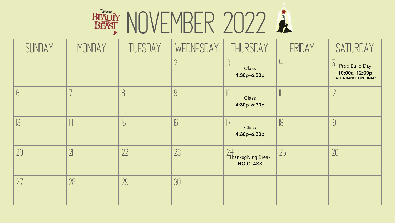## BEAUTY NOVEMBER 2022

| SUNDAY         | MONDAY      | TUESDAY    | WEDNESDAY     | THURSDAY                                    | FRIDAY | SATURDAY                                                                   |
|----------------|-------------|------------|---------------|---------------------------------------------|--------|----------------------------------------------------------------------------|
|                |             |            |               | J<br>Class<br>4:30p-6:30p                   | Ц      | $\overline{b}$<br>Prop Build Day<br>10:00a-12:00p<br>*ATTENDANCE OPTIONAL* |
| $\overline{O}$ |             | 8          | Y             | Class<br>4:30p-6:30p                        |        |                                                                            |
|                | $\mathbb H$ | $\sqrt{5}$ | $\mathsf{lb}$ | Class<br>4:30p-6:30p                        | 8      | IJ                                                                         |
| 20             | $\lfloor$   | 22         | 23            | 24<br>Thanksgiving Break<br><b>NO CLASS</b> | 25     | 26                                                                         |
|                | 28          | 29         | 30            |                                             |        |                                                                            |

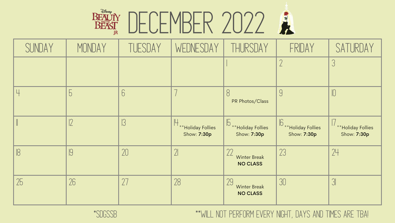### BEAUTY DECEMBER 2022

| SUNDAY | MONDAY         | TUESDAY    | WEDNESDAY                           | THURSDAY                                                 | FRIDAY                                     | SATURDAY                         |
|--------|----------------|------------|-------------------------------------|----------------------------------------------------------|--------------------------------------------|----------------------------------|
|        |                |            |                                     |                                                          |                                            |                                  |
|        | $\overline{b}$ | 6          |                                     | 8<br>PR Photos/Class                                     | 9                                          |                                  |
|        |                | $\sqrt{3}$ | H ** Holiday Follies<br>Show: 7:30p | Holiday Follies<br>Show: 7:30p                           | B ** Holiday Follies<br><b>Show: 7:30p</b> | **Holiday Follies<br>Show: 7:30p |
|        | 9              | 20         | $\gamma$                            | $\gamma\gamma$<br><b>Winter Break</b><br><b>NO CLASS</b> | 23                                         | 24                               |
| 25     | 26             |            | 28                                  | 29<br><b>Winter Break</b><br><b>NO CLASS</b>             | 30                                         |                                  |







#### \*sdgssb \*\*Will not perform every night, days and times are TBA!